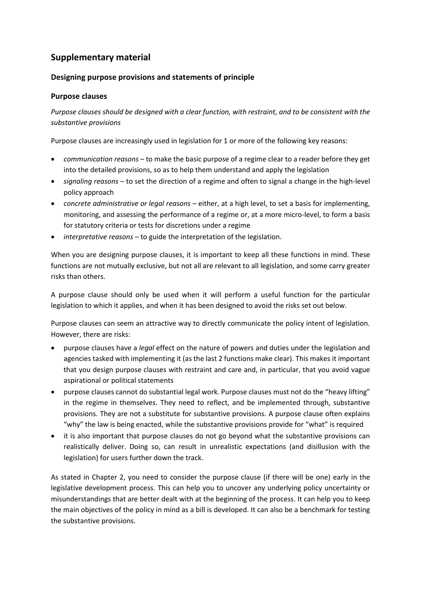# **Supplementary material**

## **Designing purpose provisions and statements of principle**

## **Purpose clauses**

*Purpose clauses should be designed with a clear function, with restraint, and to be consistent with the substantive provisions*

Purpose clauses are increasingly used in legislation for 1 or more of the following key reasons:

- *communication reasons* to make the basic purpose of a regime clear to a reader before they get into the detailed provisions, so as to help them understand and apply the legislation
- *signaling reasons* to set the direction of a regime and often to signal a change in the high-level policy approach
- *concrete administrative or legal reasons* either, at a high level, to set a basis for implementing, monitoring, and assessing the performance of a regime or, at a more micro-level, to form a basis for statutory criteria or tests for discretions under a regime
- *interpretative reasons* to guide the interpretation of the legislation.

When you are designing purpose clauses, it is important to keep all these functions in mind. These functions are not mutually exclusive, but not all are relevant to all legislation, and some carry greater risks than others.

A purpose clause should only be used when it will perform a useful function for the particular legislation to which it applies, and when it has been designed to avoid the risks set out below.

Purpose clauses can seem an attractive way to directly communicate the policy intent of legislation. However, there are risks:

- purpose clauses have a *legal* effect on the nature of powers and duties under the legislation and agencies tasked with implementing it (as the last 2 functions make clear). This makes it important that you design purpose clauses with restraint and care and, in particular, that you avoid vague aspirational or political statements
- purpose clauses cannot do substantial legal work. Purpose clauses must not do the "heavy lifting" in the regime in themselves. They need to reflect, and be implemented through, substantive provisions. They are not a substitute for substantive provisions. A purpose clause often explains "why" the law is being enacted, while the substantive provisions provide for "what" is required
- it is also important that purpose clauses do not go beyond what the substantive provisions can realistically deliver. Doing so, can result in unrealistic expectations (and disillusion with the legislation) for users further down the track.

As stated in Chapter 2, you need to consider the purpose clause (if there will be one) early in the legislative development process. This can help you to uncover any underlying policy uncertainty or misunderstandings that are better dealt with at the beginning of the process. It can help you to keep the main objectives of the policy in mind as a bill is developed. It can also be a benchmark for testing the substantive provisions.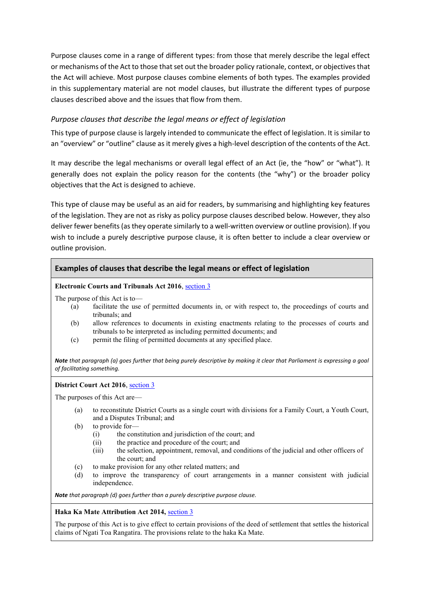Purpose clauses come in a range of different types: from those that merely describe the legal effect or mechanisms of the Act to those that set out the broader policy rationale, context, or objectives that the Act will achieve. Most purpose clauses combine elements of both types. The examples provided in this supplementary material are not model clauses, but illustrate the different types of purpose clauses described above and the issues that flow from them.

## *Purpose clauses that describe the legal means or effect of legislation*

This type of purpose clause is largely intended to communicate the effect of legislation. It is similar to an "overview" or "outline" clause as it merely gives a high-level description of the contents of the Act.

It may describe the legal mechanisms or overall legal effect of an Act (ie, the "how" or "what"). It generally does not explain the policy reason for the contents (the "why") or the broader policy objectives that the Act is designed to achieve.

This type of clause may be useful as an aid for readers, by summarising and highlighting key features of the legislation. They are not as risky as policy purpose clauses described below. However, they also deliver fewer benefits (as they operate similarly to a well-written overview or outline provision). If you wish to include a purely descriptive purpose clause, it is often better to include a clear overview or outline provision.

## **Examples of clauses that describe the legal means or effect of legislation**

### **Electronic Courts and Tribunals Act 2016**, [section](http://www.legislation.govt.nz/act/public/2016/0052/latest/DLM6943510.html) 3

The purpose of this Act is to—

- (a) facilitate the use of permitted documents in, or with respect to, the proceedings of courts and tribunals; and
- (b) allow references to documents in existing enactments relating to the processes of courts and tribunals to be interpreted as including permitted documents; and
- (c) permit the filing of permitted documents at any specified place.

*Note that paragraph (a) goes further that being purely descriptive by making it clear that Parliament is expressing a goal of facilitating something.*

## **District Court Act 2016**, [section 3](http://www.legislation.govt.nz/act/public/2016/0049/latest/DLM6942207.html?search=ts_act%40bill%40regulation%40deemedreg_district+courts_resel_25_a&p=1)

The purposes of this Act are—

- (a) to reconstitute District Courts as a single court with divisions for a Family Court, a Youth Court, and a Disputes Tribunal; and
- (b) to provide for—
	- (i) the constitution and jurisdiction of the court; and
	- (ii) the practice and procedure of the court; and
	- (iii) the selection, appointment, removal, and conditions of the judicial and other officers of the court; and
- (c) to make provision for any other related matters; and
- (d) to improve the transparency of court arrangements in a manner consistent with judicial independence.

*Note that paragraph (d) goes further than a purely descriptive purpose clause.*

### **Haka Ka Mate Attribution Act 2014,** [section 3](http://www.legislation.govt.nz/act/public/2014/0018/latest/DLM5960000.html?search=ts_act%40bill%40regulation%40deemedreg_Haka+Ka+Mate+Attribution+Act+2014_resel_25_a&p=1)

The purpose of this Act is to give effect to certain provisions of the deed of settlement that settles the historical claims of Ngati Toa Rangatira. The provisions relate to the haka Ka Mate.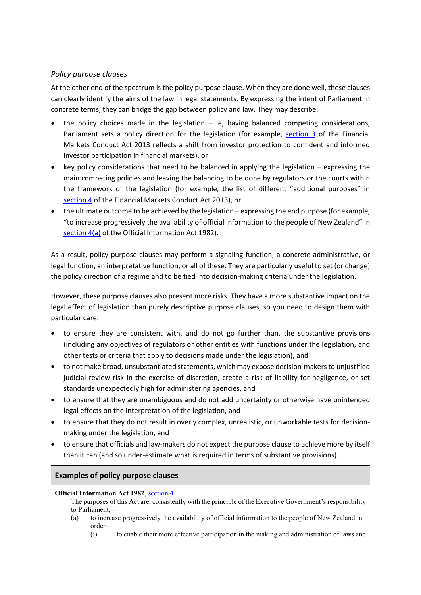## *Policy purpose clauses*

At the other end of the spectrum is the policy purpose clause. When they are done well, these clauses can clearly identify the aims of the law in legal statements. By expressing the intent of Parliament in concrete terms, they can bridge the gap between policy and law. They may describe:

- the policy choices made in the legislation  $-$  ie, having balanced competing considerations, Parliament sets a policy direction for the legislation (for example, [section 3](http://www.legislation.govt.nz/act/public/2013/0069/latest/DLM4090585.html?search=ts_act%40bill%40regulation%40deemedreg_financial+markets+conduct+act_resel_25_a&p=1) of the Financial Markets Conduct Act 2013 reflects a shift from investor protection to confident and informed investor participation in financial markets), or
- key policy considerations that need to be balanced in applying the legislation expressing the main competing policies and leaving the balancing to be done by regulators or the courts within the framework of the legislation (for example, the list of different "additional purposes" in [section](http://www.legislation.govt.nz/act/public/2013/0069/latest/DLM4090586.html?search=ts_act%40bill%40regulation%40deemedreg_financial+markets+conduct+act_resel_25_a&p=1) 4 of the Financial Markets Conduct Act 2013), or
- the ultimate outcome to be achieved by the legislation expressing the end purpose (for example, "to increase progressively the availability of official information to the people of New Zealand" in [section 4\(a\)](http://www.legislation.govt.nz/act/public/1982/0156/latest/DLM65364.html?search=ts_act%40bill%40regulation%40deemedreg_official+information+act_resel_25_a&p=1) of the Official Information Act 1982).

As a result, policy purpose clauses may perform a signaling function, a concrete administrative, or legal function, an interpretative function, or all of these. They are particularly useful to set (or change) the policy direction of a regime and to be tied into decision-making criteria under the legislation.

However, these purpose clauses also present more risks. They have a more substantive impact on the legal effect of legislation than purely descriptive purpose clauses, so you need to design them with particular care:

- to ensure they are consistent with, and do not go further than, the substantive provisions (including any objectives of regulators or other entities with functions under the legislation, and other tests or criteria that apply to decisions made under the legislation), and
- to not make broad, unsubstantiated statements, which may expose decision-makers to unjustified judicial review risk in the exercise of discretion, create a risk of liability for negligence, or set standards unexpectedly high for administering agencies, and
- to ensure that they are unambiguous and do not add uncertainty or otherwise have unintended legal effects on the interpretation of the legislation, and
- to ensure that they do not result in overly complex, unrealistic, or unworkable tests for decisionmaking under the legislation, and
- to ensure that officials and law-makers do not expect the purpose clause to achieve more by itself than it can (and so under-estimate what is required in terms of substantive provisions).

## **Examples of policy purpose clauses**

### **Official Information Act 1982**, [section](http://www.legislation.govt.nz/act/public/1982/0156/latest/DLM65364.html?search=ts_act%40bill%40regulation%40deemedreg_official+information+act+_resel_25_a&p=1) 4

The purposes of this Act are, consistently with the principle of the Executive Government's responsibility to Parliament,—

- (a) to increase progressively the availability of official information to the people of New Zealand in order—
	- (i) to enable their more effective participation in the making and administration of laws and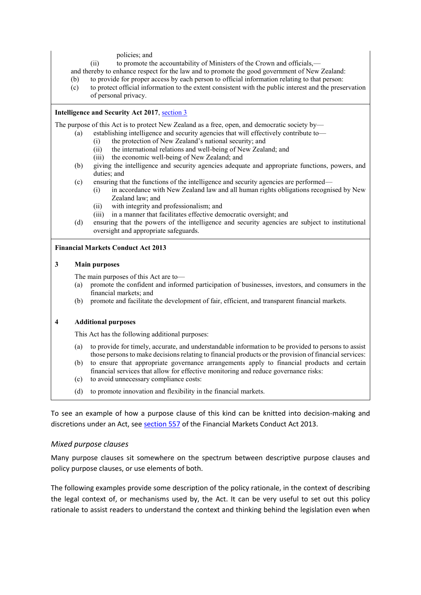#### policies; and

(ii) to promote the accountability of Ministers of the Crown and officials,—

and thereby to enhance respect for the law and to promote the good government of New Zealand:

- (b) to provide for proper access by each person to official information relating to that person:
- (c) to protect official information to the extent consistent with the public interest and the preservation of personal privacy.

#### **Intelligence and Security Act 2017**, [section 3](http://www.legislation.govt.nz/act/public/2017/0010/latest/DLM6920829.html?search=ts_act%40bill%40regulation%40deemedreg_intelligence+and+security_resel_25_a&p=1)

The purpose of this Act is to protect New Zealand as a free, open, and democratic society by—

- (a) establishing intelligence and security agencies that will effectively contribute to—
	- (i) the protection of New Zealand's national security; and
	- (ii) the international relations and well-being of New Zealand; and
	- (iii) the economic well-being of New Zealand; and
	- (b) giving the intelligence and security agencies adequate and appropriate functions, powers, and duties; and
	- (c) ensuring that the functions of the intelligence and security agencies are performed—
		- (i) in accordance with New Zealand law and all human rights obligations recognised by New Zealand law; and
		- (ii) with integrity and professionalism; and
		- (iii) in a manner that facilitates effective democratic oversight; and
	- (d) ensuring that the powers of the intelligence and security agencies are subject to institutional oversight and appropriate safeguards.

#### **Financial Markets Conduct Act 2013**

#### **3 Main purposes**

The main purposes of this Act are to—

- (a) promote the confident and informed participation of businesses, investors, and consumers in the financial markets; and
- (b) promote and facilitate the development of fair, efficient, and transparent financial markets.

#### **4 Additional purposes**

This Act has the following additional purposes:

- (a) to provide for timely, accurate, and understandable information to be provided to persons to assist those persons to make decisions relating to financial products or the provision of financial services:
- (b) to ensure that appropriate governance arrangements apply to financial products and certain financial services that allow for effective monitoring and reduce governance risks:
- (c) to avoid unnecessary compliance costs:
- (d) to promote innovation and flexibility in the financial markets.

To see an example of how a purpose clause of this kind can be knitted into decision-making and discretions under an Act, se[e section 557](http://www.legislation.govt.nz/act/public/2013/0069/latest/DLM4091822.html?search=ad_act%40bill%40regulation%40deemedreg_purpose+w%2f5+act_financial+markets+conduct+act____25_ac%40bc%40rc%40dc%40apub%40aloc%40apri%40apro%40aimp%40bgov%40bloc%40bpri%40bmem%40rpub%40rimp_ac%40bc%40rc%40ainf%40anif%40bcur%40rinf%40rnif_h_aw_se&p=1) of the Financial Markets Conduct Act 2013.

#### *Mixed purpose clauses*

Many purpose clauses sit somewhere on the spectrum between descriptive purpose clauses and policy purpose clauses, or use elements of both.

The following examples provide some description of the policy rationale, in the context of describing the legal context of, or mechanisms used by, the Act. It can be very useful to set out this policy rationale to assist readers to understand the context and thinking behind the legislation even when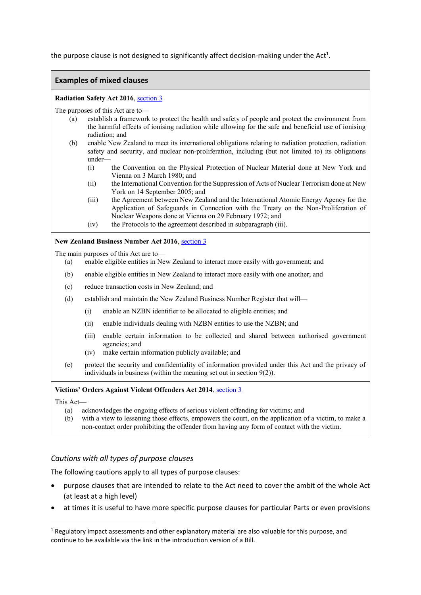the purpose clause is not designed to significantly affect decision-making under the Act<sup>1</sup>.

### **Examples of mixed clauses**

### **Radiation Safety Act 2016**, [section](http://www.legislation.govt.nz/act/public/2016/0006/latest/DLM6339524.html?search=ts_act%40bill%40regulation%40deemedreg_radiation+safety_resel_25_a&p=1) 3

The purposes of this Act are to—

- (a) establish a framework to protect the health and safety of people and protect the environment from the harmful effects of ionising radiation while allowing for the safe and beneficial use of ionising radiation; and
- (b) enable New Zealand to meet its international obligations relating to radiation protection, radiation safety and security, and nuclear non-proliferation, including (but not limited to) its obligations under—
	- (i) the Convention on the Physical Protection of Nuclear Material done at New York and Vienna on 3 March 1980; and
	- (ii) the International Convention for the Suppression of Acts of Nuclear Terrorism done at New York on 14 September 2005; and
	- (iii) the Agreement between New Zealand and the International Atomic Energy Agency for the Application of Safeguards in Connection with the Treaty on the Non-Proliferation of Nuclear Weapons done at Vienna on 29 February 1972; and
	- (iv) the Protocols to the agreement described in subparagraph (iii).

#### **New Zealand Business Number Act 2016, [section](http://www.legislation.govt.nz/act/public/2016/0016/latest/DLM6431512.html?search=ts_act%40bill%40regulation%40deemedreg_Business+number_resel_25_a&p=1) 3**

The main purposes of this Act are to—

- (a) enable eligible entities in New Zealand to interact more easily with government; and
- (b) enable eligible entities in New Zealand to interact more easily with one another; and
- (c) reduce transaction costs in New Zealand; and
- (d) establish and maintain the New Zealand Business Number Register that will—
	- (i) enable an NZBN identifier to be allocated to eligible entities; and
	- (ii) enable individuals dealing with NZBN entities to use the NZBN; and
	- (iii) enable certain information to be collected and shared between authorised government agencies; and
	- (iv) make certain information publicly available; and
- (e) protect the security and confidentiality of information provided under this Act and the privacy of individuals in business (within the meaning set out in section 9(2)).

#### **Victims' Orders Against Violent Offenders Act 2014**, [section](http://www.legislation.govt.nz/act/public/2014/0045/latest/DLM5228057.html?search=ts_act%40bill%40regulation%40deemedreg_victim_resel_25_a&p=1) 3

This Act—

1

- (a) acknowledges the ongoing effects of serious violent offending for victims; and
- (b) with a view to lessening those effects, empowers the court, on the application of a victim, to make a non-contact order prohibiting the offender from having any form of contact with the victim.

### *Cautions with all types of purpose clauses*

The following cautions apply to all types of purpose clauses:

- purpose clauses that are intended to relate to the Act need to cover the ambit of the whole Act (at least at a high level)
- at times it is useful to have more specific purpose clauses for particular Parts or even provisions

 $1$  Regulatory impact assessments and other explanatory material are also valuable for this purpose, and continue to be available via the link in the introduction version of a Bill.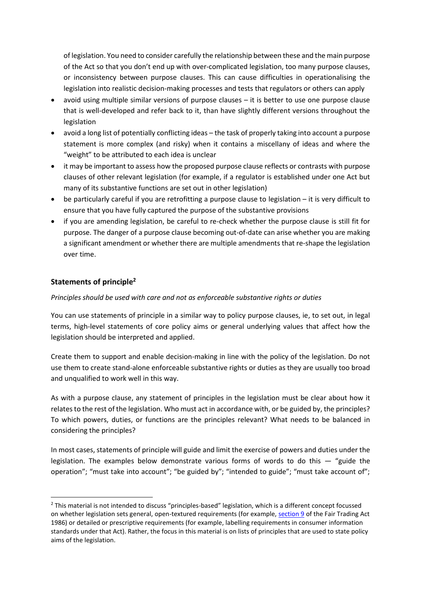of legislation. You need to consider carefully the relationship between these and the main purpose of the Act so that you don't end up with over-complicated legislation, too many purpose clauses, or inconsistency between purpose clauses. This can cause difficulties in operationalising the legislation into realistic decision-making processes and tests that regulators or others can apply

- avoid using multiple similar versions of purpose clauses it is better to use one purpose clause that is well-developed and refer back to it, than have slightly different versions throughout the legislation
- avoid a long list of potentially conflicting ideas the task of properly taking into account a purpose statement is more complex (and risky) when it contains a miscellany of ideas and where the "weight" to be attributed to each idea is unclear
- it may be important to assess how the proposed purpose clause reflects or contrasts with purpose clauses of other relevant legislation (for example, if a regulator is established under one Act but many of its substantive functions are set out in other legislation)
- be particularly careful if you are retrofitting a purpose clause to legislation it is very difficult to ensure that you have fully captured the purpose of the substantive provisions
- if you are amending legislation, be careful to re-check whether the purpose clause is still fit for purpose. The danger of a purpose clause becoming out-of-date can arise whether you are making a significant amendment or whether there are multiple amendments that re-shape the legislation over time.

## **Statements of principle<sup>2</sup>**

**.** 

## *Principles should be used with care and not as enforceable substantive rights or duties*

You can use statements of principle in a similar way to policy purpose clauses, ie, to set out, in legal terms, high-level statements of core policy aims or general underlying values that affect how the legislation should be interpreted and applied.

Create them to support and enable decision-making in line with the policy of the legislation. Do not use them to create stand-alone enforceable substantive rights or duties as they are usually too broad and unqualified to work well in this way.

As with a purpose clause, any statement of principles in the legislation must be clear about how it relates to the rest of the legislation. Who must act in accordance with, or be guided by, the principles? To which powers, duties, or functions are the principles relevant? What needs to be balanced in considering the principles?

In most cases, statements of principle will guide and limit the exercise of powers and duties under the legislation. The examples below demonstrate various forms of words to do this  $-$  "guide the operation"; "must take into account"; "be guided by"; "intended to guide"; "must take account of";

<sup>&</sup>lt;sup>2</sup> This material is not intended to discuss "principles-based" legislation, which is a different concept focussed on whether legislation sets general, open-textured requirements (for example, [section 9](http://www.legislation.govt.nz/act/public/1986/0121/latest/DLM96903.html?search=ts_act%40bill%40regulation%40deemedreg_Faire+Trading+Act_resel_25_a&p=1) of the Fair Trading Act 1986) or detailed or prescriptive requirements (for example, labelling requirements in consumer information standards under that Act). Rather, the focus in this material is on lists of principles that are used to state policy aims of the legislation.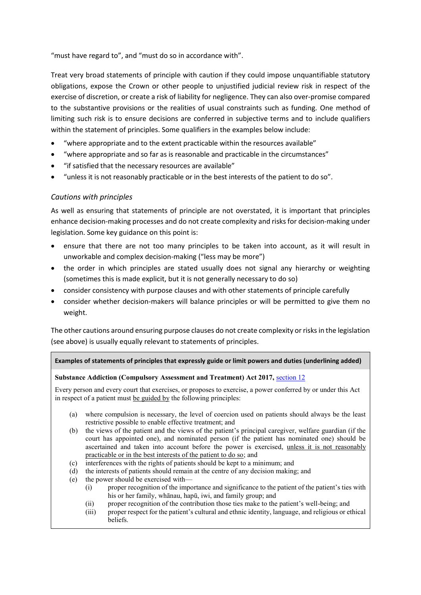"must have regard to", and "must do so in accordance with".

Treat very broad statements of principle with caution if they could impose unquantifiable statutory obligations, expose the Crown or other people to unjustified judicial review risk in respect of the exercise of discretion, or create a risk of liability for negligence. They can also over-promise compared to the substantive provisions or the realities of usual constraints such as funding. One method of limiting such risk is to ensure decisions are conferred in subjective terms and to include qualifiers within the statement of principles. Some qualifiers in the examples below include:

- "where appropriate and to the extent practicable within the resources available"
- "where appropriate and so far as is reasonable and practicable in the circumstances"
- "if satisfied that the necessary resources are available"
- "unless it is not reasonably practicable or in the best interests of the patient to do so".

## *Cautions with principles*

As well as ensuring that statements of principle are not overstated, it is important that principles enhance decision-making processes and do not create complexity and risks for decision-making under legislation. Some key guidance on this point is:

- ensure that there are not too many principles to be taken into account, as it will result in unworkable and complex decision-making ("less may be more")
- the order in which principles are stated usually does not signal any hierarchy or weighting (sometimes this is made explicit, but it is not generally necessary to do so)
- consider consistency with purpose clauses and with other statements of principle carefully
- consider whether decision-makers will balance principles or will be permitted to give them no weight.

The other cautions around ensuring purpose clauses do not create complexity or risks in the legislation (see above) is usually equally relevant to statements of principles.

### **Examples of statements of principles that expressly guide or limit powers and duties (underlining added)**

### **Substance Addiction (Compulsory Assessment and Treatment) Act 2017,** [section](http://www.legislation.govt.nz/act/public/2017/0004/latest/DLM6609148.html?search=ts_act%40bill%40regulation%40deemedreg_substance+addiction_resel_25_a&p=1) 12

Every person and every court that exercises, or proposes to exercise, a power conferred by or under this Act in respect of a patient must be guided by the following principles:

- (a) where compulsion is necessary, the level of coercion used on patients should always be the least restrictive possible to enable effective treatment; and
- (b) the views of the patient and the views of the patient's principal caregiver, welfare guardian (if the court has appointed one), and nominated person (if the patient has nominated one) should be ascertained and taken into account before the power is exercised, unless it is not reasonably practicable or in the best interests of the patient to do so; and
- (c) interferences with the rights of patients should be kept to a minimum; and
- (d) the interests of patients should remain at the centre of any decision making; and
- (e) the power should be exercised with—
	- (i) proper recognition of the importance and significance to the patient of the patient's ties with his or her family, whānau, hapū, iwi, and family group; and
	- (ii) proper recognition of the contribution those ties make to the patient's well-being; and
	- (iii) proper respect for the patient's cultural and ethnic identity, language, and religious or ethical beliefs.